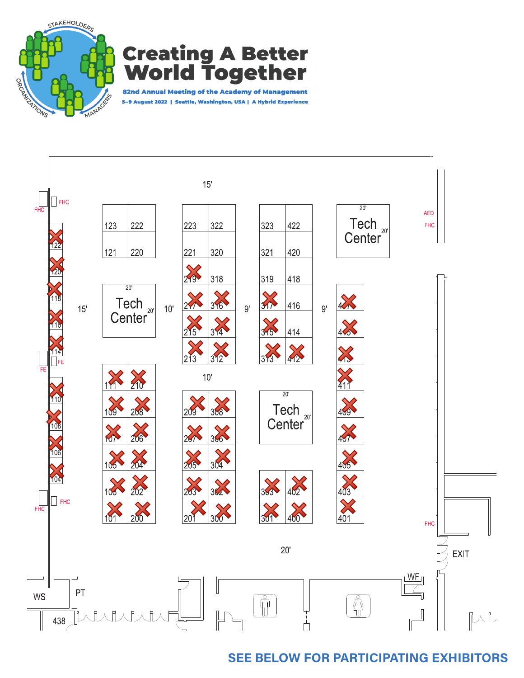

## **Creating A Better Together** Vol 7 C I

82nd Annual Meeting of the Academy of Management 5-9 August 2022 | Seattle, Washington, USA | A Hybrid Experience



## **SEE BELOW FOR PARTICIPATING EXHIBITORS**